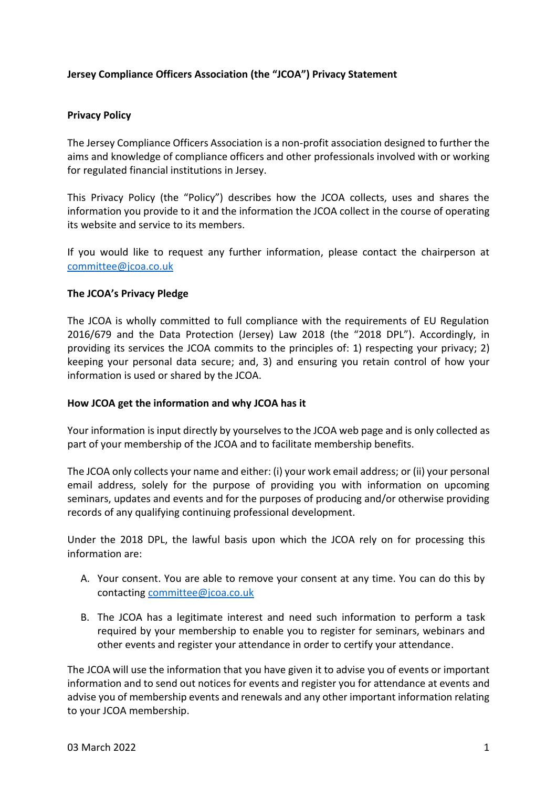# **Jersey Compliance Officers Association (the "JCOA") Privacy Statement**

### **Privacy Policy**

The Jersey Compliance Officers Association is a non-profit association designed to further the aims and knowledge of compliance officers and other professionals involved with or working for regulated financial institutions in Jersey.

This Privacy Policy (the "Policy") describes how the JCOA collects, uses and shares the information you provide to it and the information the JCOA collect in the course of operating its website and service to its members.

If you would like to request any further information, please contact the chairperson at [committee@jcoa.co.uk](mailto:committee@jcoa.co.uk)

#### **The JCOA's Privacy Pledge**

The JCOA is wholly committed to full compliance with the requirements of EU Regulation 2016/679 and the Data Protection (Jersey) Law 2018 (the "2018 DPL"). Accordingly, in providing its services the JCOA commits to the principles of: 1) respecting your privacy; 2) keeping your personal data secure; and, 3) and ensuring you retain control of how your information is used or shared by the JCOA.

#### **How JCOA get the information and why JCOA has it**

Your information is input directly by yourselves to the JCOA web page and is only collected as part of your membership of the JCOA and to facilitate membership benefits.

The JCOA only collects your name and either: (i) your work email address; or (ii) your personal email address, solely for the purpose of providing you with information on upcoming seminars, updates and events and for the purposes of producing and/or otherwise providing records of any qualifying continuing professional development.

Under the 2018 DPL, the lawful basis upon which the JCOA rely on for processing this information are:

- A. Your consent. You are able to remove your consent at any time. You can do this by contacting [committee@jcoa.co.uk](mailto:committee@jcoa.co.uk)
- B. The JCOA has a legitimate interest and need such information to perform a task required by your membership to enable you to register for seminars, webinars and other events and register your attendance in order to certify your attendance.

The JCOA will use the information that you have given it to advise you of events or important information and to send out notices for events and register you for attendance at events and advise you of membership events and renewals and any other important information relating to your JCOA membership.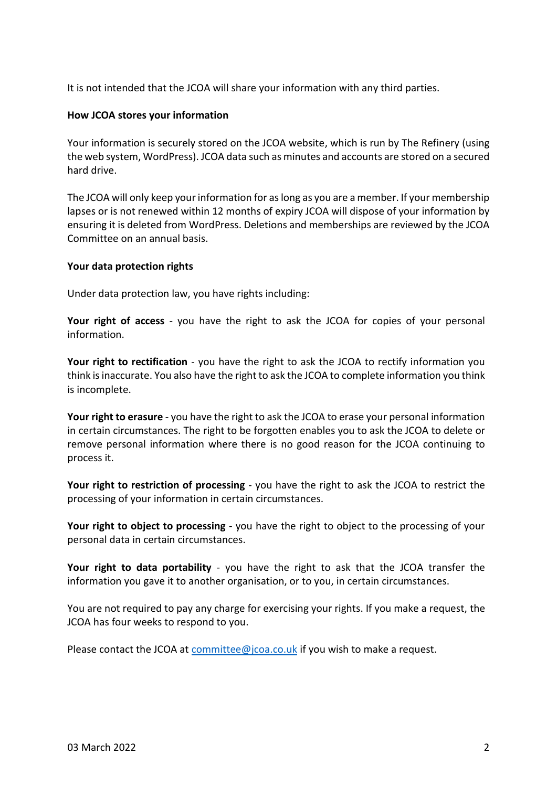It is not intended that the JCOA will share your information with any third parties.

### **How JCOA stores your information**

Your information is securely stored on the JCOA website, which is run by The Refinery (using the web system, WordPress). JCOA data such as minutes and accounts are stored on a secured hard drive.

The JCOA will only keep your information for as long as you are a member. If your membership lapses or is not renewed within 12 months of expiry JCOA will dispose of your information by ensuring it is deleted from WordPress. Deletions and memberships are reviewed by the JCOA Committee on an annual basis.

## **Your data protection rights**

Under data protection law, you have rights including:

**Your right of access** - you have the right to ask the JCOA for copies of your personal information.

Your right to rectification - you have the right to ask the JCOA to rectify information you think is inaccurate. You also have the right to ask the JCOA to complete information you think is incomplete.

**Your right to erasure** - you have the right to ask the JCOA to erase your personal information in certain circumstances. The right to be forgotten enables you to ask the JCOA to delete or remove personal information where there is no good reason for the JCOA continuing to process it.

**Your right to restriction of processing** - you have the right to ask the JCOA to restrict the processing of your information in certain circumstances.

Your right to object to processing - you have the right to object to the processing of your personal data in certain circumstances.

**Your right to data portability** - you have the right to ask that the JCOA transfer the information you gave it to another organisation, or to you, in certain circumstances.

You are not required to pay any charge for exercising your rights. If you make a request, the JCOA has four weeks to respond to you.

Please contact the JCOA at [committee@jcoa.co.uk](mailto:committee@jcoa.co.uk) if you wish to make a request.